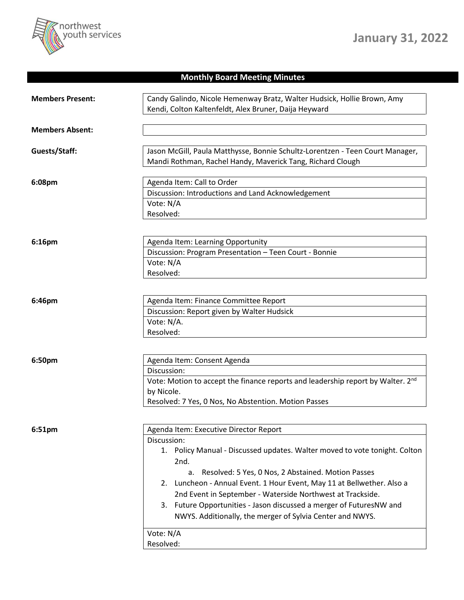

## **Monthly Board Meeting Minutes**

| <b>Members Present:</b> | Candy Galindo, Nicole Hemenway Bratz, Walter Hudsick, Hollie Brown, Amy<br>Kendi, Colton Kaltenfeldt, Alex Bruner, Daija Heyward                                                                                                                                                                                                                                                                                                                                                              |
|-------------------------|-----------------------------------------------------------------------------------------------------------------------------------------------------------------------------------------------------------------------------------------------------------------------------------------------------------------------------------------------------------------------------------------------------------------------------------------------------------------------------------------------|
| <b>Members Absent:</b>  |                                                                                                                                                                                                                                                                                                                                                                                                                                                                                               |
| Guests/Staff:           | Jason McGill, Paula Matthysse, Bonnie Schultz-Lorentzen - Teen Court Manager,<br>Mandi Rothman, Rachel Handy, Maverick Tang, Richard Clough                                                                                                                                                                                                                                                                                                                                                   |
| 6:08pm                  | Agenda Item: Call to Order<br>Discussion: Introductions and Land Acknowledgement<br>Vote: N/A<br>Resolved:                                                                                                                                                                                                                                                                                                                                                                                    |
| 6:16pm                  | Agenda Item: Learning Opportunity<br>Discussion: Program Presentation - Teen Court - Bonnie<br>Vote: N/A<br>Resolved:                                                                                                                                                                                                                                                                                                                                                                         |
| 6:46pm                  | Agenda Item: Finance Committee Report<br>Discussion: Report given by Walter Hudsick<br>Vote: N/A.<br>Resolved:                                                                                                                                                                                                                                                                                                                                                                                |
| 6:50pm                  | Agenda Item: Consent Agenda<br>Discussion:<br>Vote: Motion to accept the finance reports and leadership report by Walter. 2 <sup>nd</sup><br>by Nicole.<br>Resolved: 7 Yes, 0 Nos, No Abstention. Motion Passes                                                                                                                                                                                                                                                                               |
| 6:51pm                  | Agenda Item: Executive Director Report<br>Discussion:<br>1. Policy Manual - Discussed updates. Walter moved to vote tonight. Colton<br>2nd.<br>a. Resolved: 5 Yes, 0 Nos, 2 Abstained. Motion Passes<br>2. Luncheon - Annual Event. 1 Hour Event, May 11 at Bellwether. Also a<br>2nd Event in September - Waterside Northwest at Trackside.<br>3. Future Opportunities - Jason discussed a merger of FuturesNW and<br>NWYS. Additionally, the merger of Sylvia Center and NWYS.<br>Vote: N/A |
|                         | Resolved:                                                                                                                                                                                                                                                                                                                                                                                                                                                                                     |